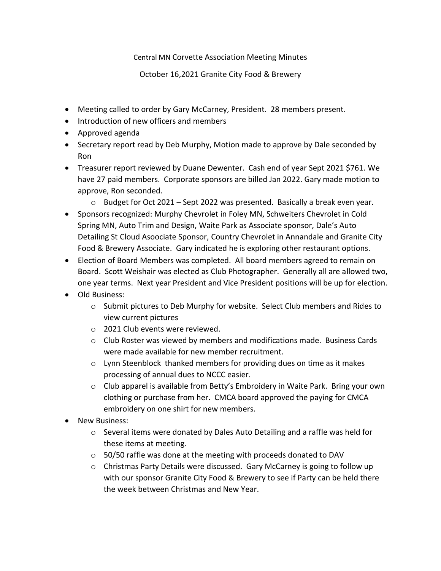## Central MN Corvette Association Meeting Minutes

October 16,2021 Granite City Food & Brewery

- Meeting called to order by Gary McCarney, President. 28 members present.
- Introduction of new officers and members
- Approved agenda
- Secretary report read by Deb Murphy, Motion made to approve by Dale seconded by Ron
- Treasurer report reviewed by Duane Dewenter. Cash end of year Sept 2021 \$761. We have 27 paid members. Corporate sponsors are billed Jan 2022. Gary made motion to approve, Ron seconded.
	- o Budget for Oct 2021 Sept 2022 was presented. Basically a break even year.
- Sponsors recognized: Murphy Chevrolet in Foley MN, Schweiters Chevrolet in Cold Spring MN, Auto Trim and Design, Waite Park as Associate sponsor, Dale's Auto Detailing St Cloud Asoociate Sponsor, Country Chevrolet in Annandale and Granite City Food & Brewery Associate. Gary indicated he is exploring other restaurant options.
- Election of Board Members was completed. All board members agreed to remain on Board. Scott Weishair was elected as Club Photographer. Generally all are allowed two, one year terms. Next year President and Vice President positions will be up for election.
- Old Business:
	- $\circ$  Submit pictures to Deb Murphy for website. Select Club members and Rides to view current pictures
	- o 2021 Club events were reviewed.
	- $\circ$  Club Roster was viewed by members and modifications made. Business Cards were made available for new member recruitment.
	- $\circ$  Lynn Steenblock thanked members for providing dues on time as it makes processing of annual dues to NCCC easier.
	- $\circ$  Club apparel is available from Betty's Embroidery in Waite Park. Bring your own clothing or purchase from her. CMCA board approved the paying for CMCA embroidery on one shirt for new members.
- New Business:
	- o Several items were donated by Dales Auto Detailing and a raffle was held for these items at meeting.
	- o 50/50 raffle was done at the meeting with proceeds donated to DAV
	- o Christmas Party Details were discussed. Gary McCarney is going to follow up with our sponsor Granite City Food & Brewery to see if Party can be held there the week between Christmas and New Year.